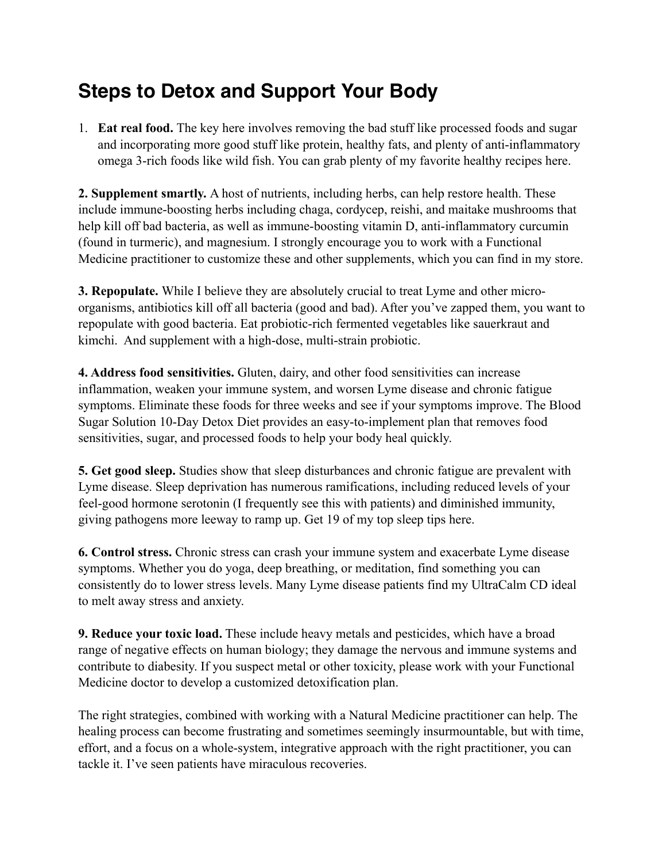# **Steps to Detox and Support Your Body**

1. **Eat real food.** The key here involves removing the bad stuff like processed foods and sugar and incorporating more good stuff like protein, healthy fats, and plenty of anti-inflammatory omega 3-rich foods like wild fish. You can grab plenty of my favorite healthy recipes here.

**2. Supplement smartly.** A host of nutrients, including herbs, can help restore health. These include immune-boosting herbs including chaga, cordycep, reishi, and maitake mushrooms that help kill off bad bacteria, as well as immune-boosting vitamin D, anti-inflammatory curcumin (found in turmeric), and magnesium. I strongly encourage you to work with a Functional Medicine practitioner to customize these and other supplements, which you can find in my store.

**3. Repopulate.** While I believe they are absolutely crucial to treat Lyme and other microorganisms, antibiotics kill off all bacteria (good and bad). After you've zapped them, you want to repopulate with good bacteria. Eat probiotic-rich fermented vegetables like sauerkraut and kimchi. And supplement with a high-dose, multi-strain probiotic.

**4. Address food sensitivities.** Gluten, dairy, and other food sensitivities can increase inflammation, weaken your immune system, and worsen Lyme disease and chronic fatigue symptoms. Eliminate these foods for three weeks and see if your symptoms improve. The Blood Sugar Solution 10-Day Detox Diet provides an easy-to-implement plan that removes food sensitivities, sugar, and processed foods to help your body heal quickly.

**5. Get good sleep.** Studies show that sleep disturbances and chronic fatigue are prevalent with Lyme disease. Sleep deprivation has numerous ramifications, including reduced levels of your feel-good hormone serotonin (I frequently see this with patients) and diminished immunity, giving pathogens more leeway to ramp up. Get 19 of my top sleep tips here.

**6. Control stress.** Chronic stress can crash your immune system and exacerbate Lyme disease symptoms. Whether you do yoga, deep breathing, or meditation, find something you can consistently do to lower stress levels. Many Lyme disease patients find my UltraCalm CD ideal to melt away stress and anxiety.

**9. Reduce your toxic load.** These include heavy metals and pesticides, which have a broad range of negative effects on human biology; they damage the nervous and immune systems and contribute to diabesity. If you suspect metal or other toxicity, please work with your Functional Medicine doctor to develop a customized detoxification plan.

The right strategies, combined with working with a Natural Medicine practitioner can help. The healing process can become frustrating and sometimes seemingly insurmountable, but with time, effort, and a focus on a whole-system, integrative approach with the right practitioner, you can tackle it. I've seen patients have miraculous recoveries.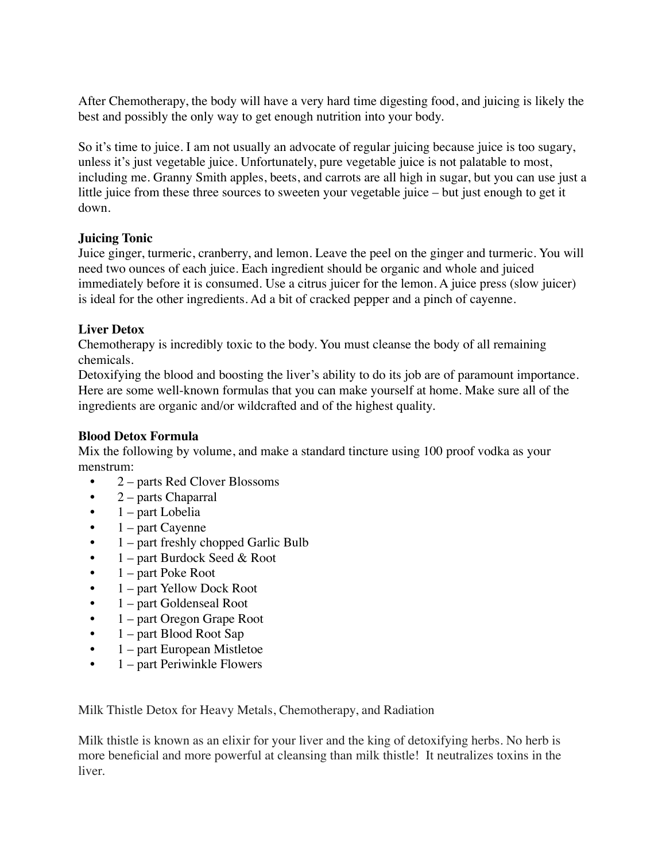After Chemotherapy, the body will have a very hard time digesting food, and juicing is likely the best and possibly the only way to get enough nutrition into your body.

So it's time to juice. I am not usually an advocate of regular juicing because juice is too sugary, unless it's just vegetable juice. Unfortunately, pure vegetable juice is not palatable to most, including me. Granny Smith apples, beets, and carrots are all high in sugar, but you can use just a little juice from these three sources to sweeten your vegetable juice – but just enough to get it down.

# **Juicing Tonic**

Juice ginger, turmeric, cranberry, and lemon. Leave the peel on the ginger and turmeric. You will need two ounces of each juice. Each ingredient should be organic and whole and juiced immediately before it is consumed. Use a citrus juicer for the lemon. A juice press (slow juicer) is ideal for the other ingredients. Ad a bit of cracked pepper and a pinch of cayenne.

# **Liver Detox**

Chemotherapy is incredibly toxic to the body. You must cleanse the body of all remaining chemicals.

Detoxifying the blood and boosting the liver's ability to do its job are of paramount importance. Here are some well-known formulas that you can make yourself at home. Make sure all of the ingredients are organic and/or wildcrafted and of the highest quality.

# **Blood Detox Formula**

Mix the following by volume, and make a standard tincture using 100 proof vodka as your menstrum:

- 2 parts Red Clover Blossoms
- 2 parts Chaparral
- $\bullet$  1 part Lobelia
- $\bullet$  1 part Cayenne
- 1 part freshly chopped Garlic Bulb
- $1$  part Burdock Seed & Root
- $\bullet$  1 part Poke Root
- 1 part Yellow Dock Root
- 1 part Goldenseal Root
- 1 part Oregon Grape Root
- 1 part Blood Root Sap
- $\bullet$  1 part European Mistletoe
- 1 part Periwinkle Flowers

Milk Thistle Detox for Heavy Metals, Chemotherapy, and Radiation

Milk thistle is known as an elixir for your liver and the king of detoxifying herbs. No herb is more beneficial and more powerful at cleansing than milk thistle! It neutralizes toxins in the liver.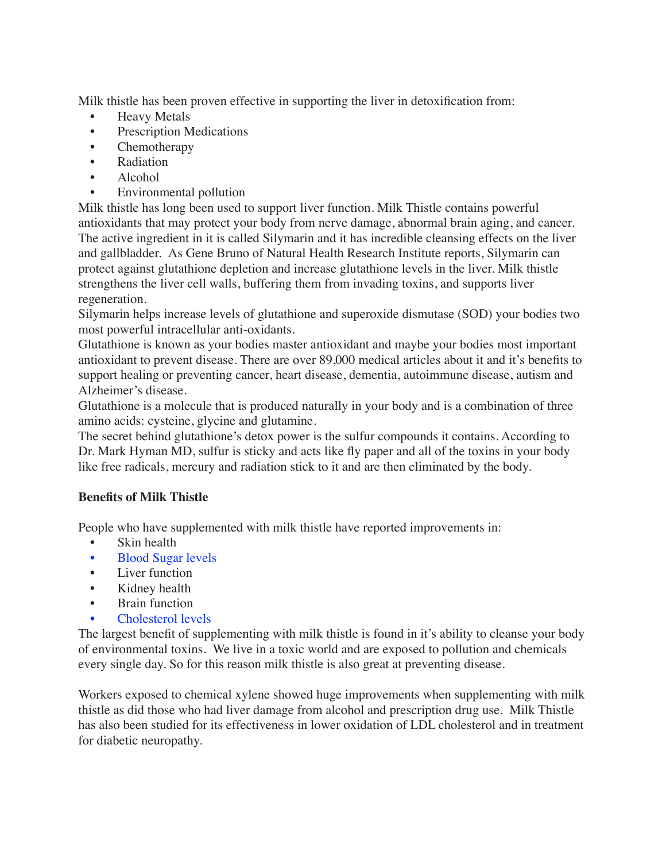Milk thistle has been proven effective in supporting the liver in detoxification from:

- **Heavy Metals**
- Prescription Medications
- Chemotherapy
- Radiation
- Alcohol
- Environmental pollution

Milk thistle has long been used to support liver function. Milk Thistle contains powerful antioxidants that may protect your body from nerve damage, abnormal brain aging, and cancer. The active ingredient in it is called Silymarin and it has incredible cleansing effects on the liver and gallbladder. As Gene Bruno of Natural Health Research Institute reports, Silymarin can protect against glutathione depletion and increase glutathione levels in the liver. Milk thistle strengthens the liver cell walls, buffering them from invading toxins, and supports liver regeneration.

Silymarin helps increase levels of glutathione and superoxide dismutase (SOD) your bodies two most powerful intracellular anti-oxidants.

Glutathione is known as your bodies master antioxidant and maybe your bodies most important antioxidant to prevent disease. There are over 89,000 medical articles about it and it's benefits to support healing or preventing cancer, heart disease, dementia, autoimmune disease, autism and Alzheimer's disease.

Glutathione is a molecule that is produced naturally in your body and is a combination of three amino acids: cysteine, glycine and glutamine.

The secret behind glutathione's detox power is the sulfur compounds it contains. According to Dr. Mark Hyman MD, sulfur is sticky and acts like fly paper and all of the toxins in your body like free radicals, mercury and radiation stick to it and are then eliminated by the body.

### **Benefits of Milk Thistle**

People who have supplemented with milk thistle have reported improvements in:

- Skin health
- Blood Sugar levels
- Liver function
- Kidney health
- **Brain function**
- • [Cholesterol levels](http://draxe.com/low-cholesterol-levels-are-worse-than-high/)

The largest benefit of supplementing with milk thistle is found in it's ability to cleanse your body of environmental toxins. We live in a toxic world and are exposed to pollution and chemicals every single day. So for this reason milk thistle is also great at preventing disease.

Workers exposed to chemical xylene showed huge improvements when supplementing with milk thistle as did those who had liver damage from alcohol and prescription drug use. Milk Thistle has also been studied for its effectiveness in lower oxidation of LDL cholesterol and in treatment for diabetic neuropathy.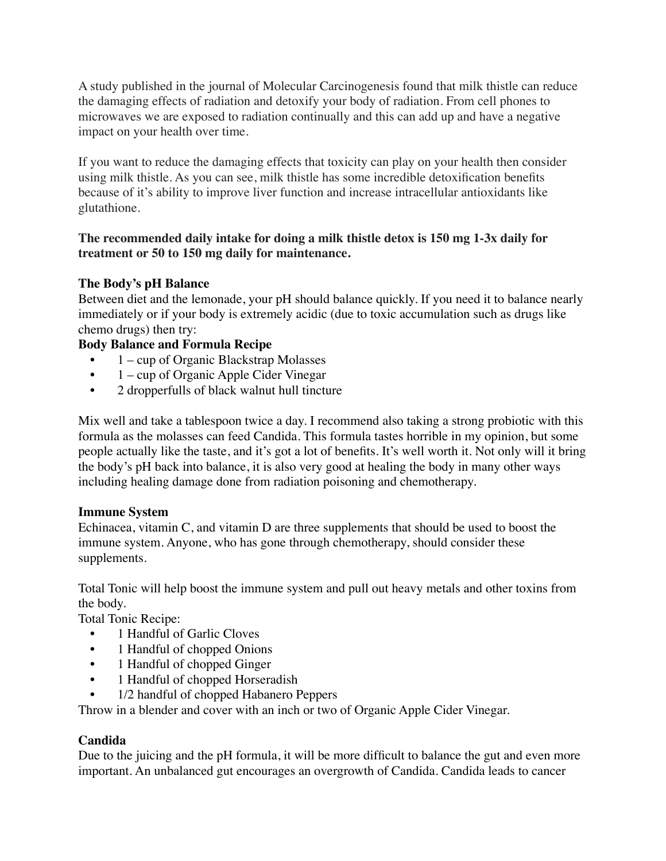A study published in the journal of Molecular Carcinogenesis found that milk thistle can reduce the damaging effects of radiation and detoxify your body of radiation. From cell phones to microwaves we are exposed to radiation continually and this can add up and have a negative impact on your health over time.

If you want to reduce the damaging effects that toxicity can play on your health then consider using milk thistle. As you can see, milk thistle has some incredible detoxification benefits because of it's ability to improve liver function and increase intracellular antioxidants like glutathione.

## **The recommended daily intake for doing a milk thistle detox is 150 mg 1-3x daily for treatment or 50 to 150 mg daily for maintenance.**

# **The Body's pH Balance**

Between diet and the lemonade, your pH should balance quickly. If you need it to balance nearly immediately or if your body is extremely acidic (due to toxic accumulation such as drugs like chemo drugs) then try:

# **Body Balance and Formula Recipe**

- 1 cup of Organic Blackstrap Molasses
- 1 cup of Organic Apple Cider Vinegar
- 2 dropperfulls of black walnut hull tincture

Mix well and take a tablespoon twice a day. I recommend also taking a strong probiotic with this formula as the molasses can feed Candida. This formula tastes horrible in my opinion, but some people actually like the taste, and it's got a lot of benefits. It's well worth it. Not only will it bring the body's pH back into balance, it is also very good at healing the body in many other ways including healing damage done from radiation poisoning and chemotherapy.

#### **Immune System**

Echinacea, vitamin C, and vitamin D are three supplements that should be used to boost the immune system. Anyone, who has gone through chemotherapy, should consider these supplements.

Total Tonic will help boost the immune system and pull out heavy metals and other toxins from the body.

Total Tonic Recipe:

- 1 Handful of Garlic Cloves
- 1 Handful of chopped Onions
- 1 Handful of chopped Ginger
- 1 Handful of chopped Horseradish
- 1/2 handful of chopped Habanero Peppers

Throw in a blender and cover with an inch or two of Organic Apple Cider Vinegar.

### **Candida**

Due to the juicing and the pH formula, it will be more difficult to balance the gut and even more important. An unbalanced gut encourages an overgrowth of Candida. Candida leads to cancer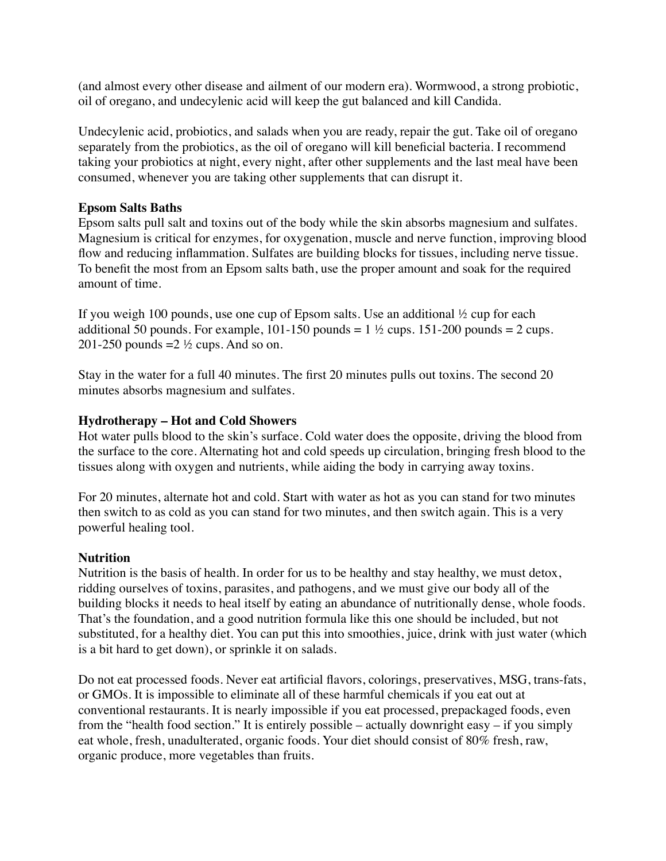(and almost every other disease and ailment of our modern era). Wormwood, a strong probiotic, oil of oregano, and undecylenic acid will keep the gut balanced and kill Candida.

Undecylenic acid, probiotics, and salads when you are ready, repair the gut. Take oil of oregano separately from the probiotics, as the oil of oregano will kill beneficial bacteria. I recommend taking your probiotics at night, every night, after other supplements and the last meal have been consumed, whenever you are taking other supplements that can disrupt it.

#### **Epsom Salts Baths**

Epsom salts pull salt and toxins out of the body while the skin absorbs magnesium and sulfates. Magnesium is critical for enzymes, for oxygenation, muscle and nerve function, improving blood flow and reducing inflammation. Sulfates are building blocks for tissues, including nerve tissue. To benefit the most from an Epsom salts bath, use the proper amount and soak for the required amount of time.

If you weigh 100 pounds, use one cup of Epsom salts. Use an additional  $\frac{1}{2}$  cup for each additional 50 pounds. For example, 101-150 pounds =  $1 \frac{1}{2}$  cups. 151-200 pounds = 2 cups. 201-250 pounds  $=2\frac{1}{2}$  cups. And so on.

Stay in the water for a full 40 minutes. The first 20 minutes pulls out toxins. The second 20 minutes absorbs magnesium and sulfates.

#### **Hydrotherapy – Hot and Cold Showers**

Hot water pulls blood to the skin's surface. Cold water does the opposite, driving the blood from the surface to the core. Alternating hot and cold speeds up circulation, bringing fresh blood to the tissues along with oxygen and nutrients, while aiding the body in carrying away toxins.

For 20 minutes, alternate hot and cold. Start with water as hot as you can stand for two minutes then switch to as cold as you can stand for two minutes, and then switch again. This is a very powerful healing tool.

#### **Nutrition**

Nutrition is the basis of health. In order for us to be healthy and stay healthy, we must detox, ridding ourselves of toxins, parasites, and pathogens, and we must give our body all of the building blocks it needs to heal itself by eating an abundance of nutritionally dense, whole foods. That's the foundation, and a good nutrition formula like this one should be included, but not substituted, for a healthy diet. You can put this into smoothies, juice, drink with just water (which is a bit hard to get down), or sprinkle it on salads.

Do not eat processed foods. Never eat artificial flavors, colorings, preservatives, MSG, trans-fats, or GMOs. It is impossible to eliminate all of these harmful chemicals if you eat out at conventional restaurants. It is nearly impossible if you eat processed, prepackaged foods, even from the "health food section." It is entirely possible – actually downright easy – if you simply eat whole, fresh, unadulterated, organic foods. Your diet should consist of 80% fresh, raw, organic produce, more vegetables than fruits.